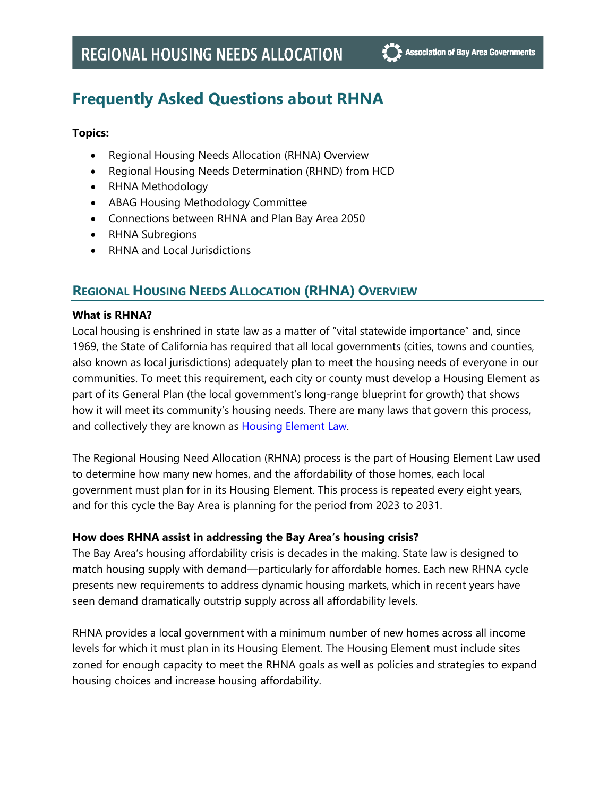# **Frequently Asked Questions about RHNA**

## **Topics:**

- Regional Housing Needs Allocation (RHNA) Overview
- Regional Housing Needs Determination (RHND) from HCD
- RHNA Methodology
- ABAG Housing Methodology Committee
- Connections between RHNA and Plan Bay Area 2050
- RHNA Subregions
- RHNA and Local Jurisdictions

## **REGIONAL HOUSING NEEDS ALLOCATION (RHNA) OVERVIEW**

## **What is RHNA?**

Local housing is enshrined in state law as a matter of "vital statewide importance" and, since 1969, the State of California has required that all local governments (cities, towns and counties, also known as local jurisdictions) adequately plan to meet the housing needs of everyone in our communities. To meet this requirement, each city or county must develop a Housing Element as part of its General Plan (the local government's long-range blueprint for growth) that shows how it will meet its community's housing needs. There are many laws that govern this process, and collectively they are known as **Housing Element Law**.

The Regional Housing Need Allocation (RHNA) process is the part of Housing Element Law used to determine how many new homes, and the affordability of those homes, each local government must plan for in its Housing Element. This process is repeated every eight years, and for this cycle the Bay Area is planning for the period from 2023 to 2031.

## **How does RHNA assist in addressing the Bay Area's housing crisis?**

The Bay Area's housing affordability crisis is decades in the making. State law is designed to match housing supply with demand—particularly for affordable homes. Each new RHNA cycle presents new requirements to address dynamic housing markets, which in recent years have seen demand dramatically outstrip supply across all affordability levels.

RHNA provides a local government with a minimum number of new homes across all income levels for which it must plan in its Housing Element. The Housing Element must include sites zoned for enough capacity to meet the RHNA goals as well as policies and strategies to expand housing choices and increase housing affordability.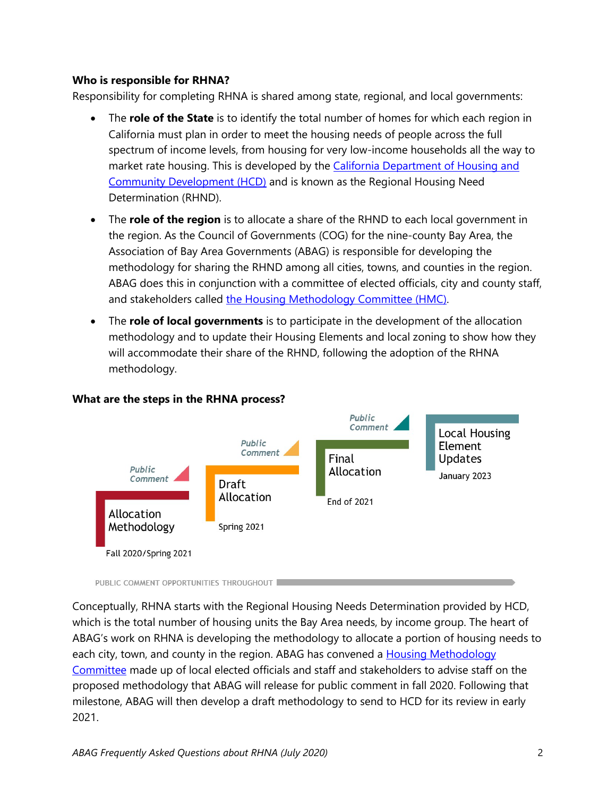## **Who is responsible for RHNA?**

Responsibility for completing RHNA is shared among state, regional, and local governments:

- The **role of the State** is to identify the total number of homes for which each region in California must plan in order to meet the housing needs of people across the full spectrum of income levels, from housing for very low-income households all the way to market rate housing. This is developed by the California Department of Housing and [Community Development \(HCD\)](https://www.hcd.ca.gov/community-development/housing-element/index.shtml) and is known as the Regional Housing Need Determination (RHND).
- The **role of the region** is to allocate a share of the RHND to each local government in the region. As the Council of Governments (COG) for the nine-county Bay Area, the Association of Bay Area Governments (ABAG) is responsible for developing the methodology for sharing the RHND among all cities, towns, and counties in the region. ABAG does this in conjunction with a committee of elected officials, city and county staff, and stakeholders called [the Housing Methodology Committee \(HMC\).](https://abag.ca.gov/our-work/housing/rhna-regional-housing-needs-allocation/housing-methodology-committee)
- The **role of local governments** is to participate in the development of the allocation methodology and to update their Housing Elements and local zoning to show how they will accommodate their share of the RHND, following the adoption of the RHNA methodology.



## **What are the steps in the RHNA process?**

Conceptually, RHNA starts with the Regional Housing Needs Determination provided by HCD, which is the total number of housing units the Bay Area needs, by income group. The heart of ABAG's work on RHNA is developing the methodology to allocate a portion of housing needs to each city, town, and county in the region. ABAG has convened a [Housing Methodology](https://abag.ca.gov/our-work/housing/rhna-regional-housing-needs-allocation/housing-methodology-committee)  [Committee](https://abag.ca.gov/our-work/housing/rhna-regional-housing-needs-allocation/housing-methodology-committee) made up of local elected officials and staff and stakeholders to advise staff on the proposed methodology that ABAG will release for public comment in fall 2020. Following that milestone, ABAG will then develop a draft methodology to send to HCD for its review in early 2021.

PUBLIC COMMENT OPPORTUNITIES THROUGHOUT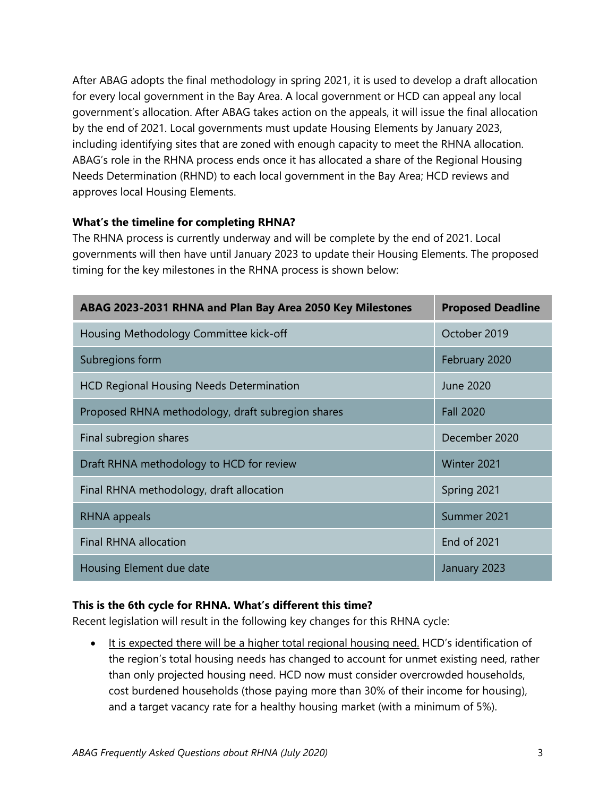After ABAG adopts the final methodology in spring 2021, it is used to develop a draft allocation for every local government in the Bay Area. A local government or HCD can appeal any local government's allocation. After ABAG takes action on the appeals, it will issue the final allocation by the end of 2021. Local governments must update Housing Elements by January 2023, including identifying sites that are zoned with enough capacity to meet the RHNA allocation. ABAG's role in the RHNA process ends once it has allocated a share of the Regional Housing Needs Determination (RHND) to each local government in the Bay Area; HCD reviews and approves local Housing Elements.

## **What's the timeline for completing RHNA?**

The RHNA process is currently underway and will be complete by the end of 2021. Local governments will then have until January 2023 to update their Housing Elements. The proposed timing for the key milestones in the RHNA process is shown below:

| ABAG 2023-2031 RHNA and Plan Bay Area 2050 Key Milestones | <b>Proposed Deadline</b> |
|-----------------------------------------------------------|--------------------------|
| Housing Methodology Committee kick-off                    | October 2019             |
| Subregions form                                           | February 2020            |
| <b>HCD Regional Housing Needs Determination</b>           | <b>June 2020</b>         |
| Proposed RHNA methodology, draft subregion shares         | <b>Fall 2020</b>         |
| Final subregion shares                                    | December 2020            |
| Draft RHNA methodology to HCD for review                  | Winter 2021              |
| Final RHNA methodology, draft allocation                  | Spring 2021              |
| RHNA appeals                                              | Summer 2021              |
| <b>Final RHNA allocation</b>                              | <b>End of 2021</b>       |
| Housing Element due date                                  | January 2023             |

## **This is the 6th cycle for RHNA. What's different this time?**

Recent legislation will result in the following key changes for this RHNA cycle:

• It is expected there will be a higher total regional housing need. HCD's identification of the region's total housing needs has changed to account for unmet existing need, rather than only projected housing need. HCD now must consider overcrowded households, cost burdened households (those paying more than 30% of their income for housing), and a target vacancy rate for a healthy housing market (with a minimum of 5%).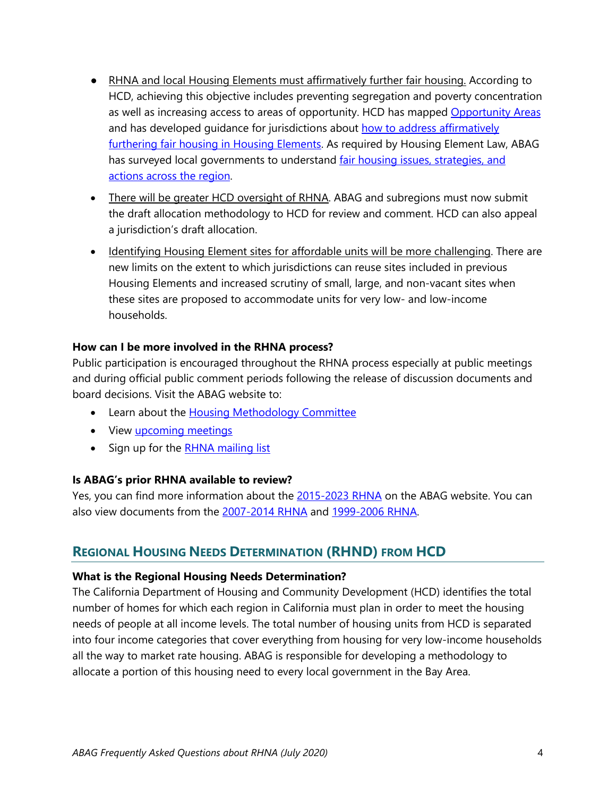- RHNA and local Housing Elements must affirmatively further fair housing. According to HCD, achieving this objective includes preventing segregation and poverty concentration as well as increasing access to areas of opportunity. HCD has mapped [Opportunity Areas](https://www.treasurer.ca.gov/ctcac/opportunity.asp) and has developed guidance for jurisdictions about [how to address affirmatively](https://www.hcd.ca.gov/community-development/housing-element/housing-element-memos/docs/AB686_SummaryHousingElementFinal_04222020.pdf)  [furthering fair housing in Housing Elements.](https://www.hcd.ca.gov/community-development/housing-element/housing-element-memos/docs/AB686_SummaryHousingElementFinal_04222020.pdf) As required by Housing Element Law, ABAG has surveyed local governments to understand fair housing issues, strategies, and [actions across the region.](https://abag.ca.gov/sites/default/files/fair_housing_survey_results_summary_april2020.pdf)
- There will be greater HCD oversight of RHNA. ABAG and subregions must now submit the draft allocation methodology to HCD for review and comment. HCD can also appeal a jurisdiction's draft allocation.
- Identifying Housing Element sites for affordable units will be more challenging. There are new limits on the extent to which jurisdictions can reuse sites included in previous Housing Elements and increased scrutiny of small, large, and non-vacant sites when these sites are proposed to accommodate units for very low- and low-income households.

## **How can I be more involved in the RHNA process?**

Public participation is encouraged throughout the RHNA process especially at public meetings and during official public comment periods following the release of discussion documents and board decisions. Visit the ABAG website to:

- Learn about the [Housing Methodology Committee](https://abag.ca.gov/our-work/housing/rhna-regional-housing-needs-allocation/housing-methodology-committee)
- View *upcoming meetings*
- Sign up for the **RHNA mailing list**

## **Is ABAG's prior RHNA available to review?**

Yes, you can find more information about the [2015-2023 RHNA](https://abag.ca.gov/our-work/housing/rhna-regional-housing-need-allocation/2015%E2%80%932023-regional-housing-need-allocation) on the ABAG website. You can also view documents from the [2007-2014 RHNA](https://abag.ca.gov/tools-resources/digital-library/rhna-2007-2014) and [1999-2006 RHNA.](https://abag.ca.gov/tools-resources/digital-library/rhna-1999-2006)

# **REGIONAL HOUSING NEEDS DETERMINATION (RHND) FROM HCD**

## **What is the Regional Housing Needs Determination?**

The California Department of Housing and Community Development (HCD) identifies the total number of homes for which each region in California must plan in order to meet the housing needs of people at all income levels. The total number of housing units from HCD is separated into four income categories that cover everything from housing for very low-income households all the way to market rate housing. ABAG is responsible for developing a methodology to allocate a portion of this housing need to every local government in the Bay Area.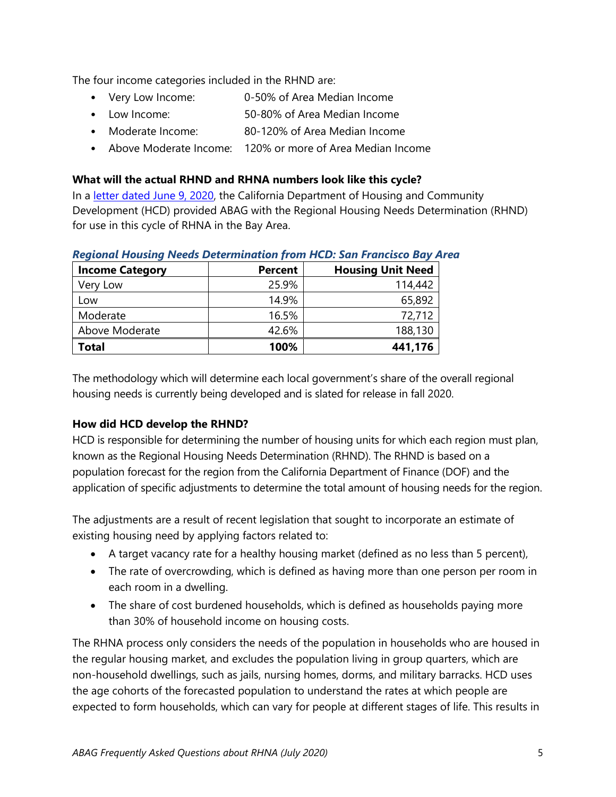The four income categories included in the RHND are:

- Very Low Income: 0-50% of Area Median Income
- Low Income: 50-80% of Area Median Income
- Moderate Income: 80-120% of Area Median Income
- Above Moderate Income: 120% or more of Area Median Income

## **What will the actual RHND and RHNA numbers look like this cycle?**

In a [letter dated June 9, 2020,](https://www.hcd.ca.gov/community-development/housing-element/docs/ABAGRHNA-Final060920(r).pdf) the California Department of Housing and Community Development (HCD) provided ABAG with the Regional Housing Needs Determination (RHND) for use in this cycle of RHNA in the Bay Area.

| <b>Income Category</b> | <b>Percent</b> | <b>Housing Unit Need</b> |
|------------------------|----------------|--------------------------|
| Very Low               | 25.9%          | 114,442                  |
| Low                    | 14.9%          | 65,892                   |
| Moderate               | 16.5%          | 72,712                   |
| Above Moderate         | 42.6%          | 188,130                  |
| Total                  | 100%           | 441,176                  |

## *Regional Housing Needs Determination from HCD: San Francisco Bay Area*

The methodology which will determine each local government's share of the overall regional housing needs is currently being developed and is slated for release in fall 2020.

## **How did HCD develop the RHND?**

HCD is responsible for determining the number of housing units for which each region must plan, known as the Regional Housing Needs Determination (RHND). The RHND is based on a population forecast for the region from the California Department of Finance (DOF) and the application of specific adjustments to determine the total amount of housing needs for the region.

The adjustments are a result of recent legislation that sought to incorporate an estimate of existing housing need by applying factors related to:

- A target vacancy rate for a healthy housing market (defined as no less than 5 percent),
- The rate of overcrowding, which is defined as having more than one person per room in each room in a dwelling.
- The share of cost burdened households, which is defined as households paying more than 30% of household income on housing costs.

The RHNA process only considers the needs of the population in households who are housed in the regular housing market, and excludes the population living in group quarters, which are non-household dwellings, such as jails, nursing homes, dorms, and military barracks. HCD uses the age cohorts of the forecasted population to understand the rates at which people are expected to form households, which can vary for people at different stages of life. This results in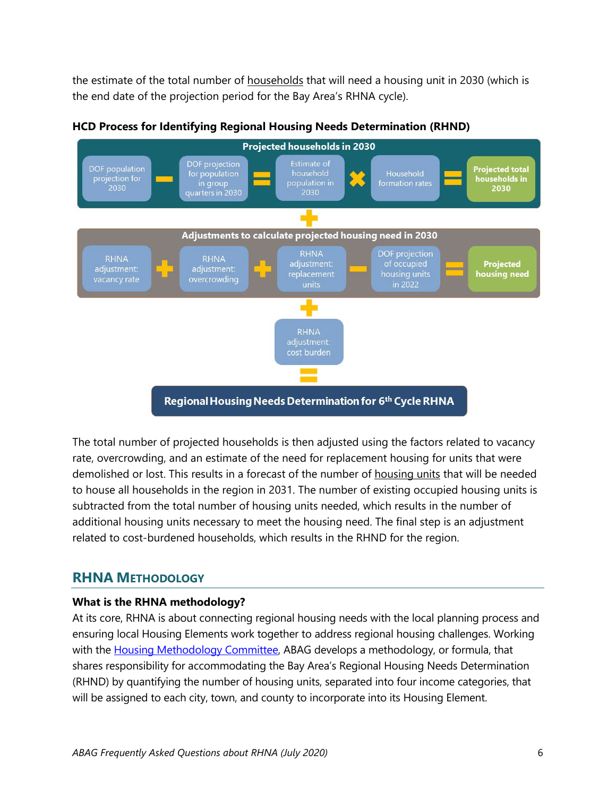the estimate of the total number of households that will need a housing unit in 2030 (which is the end date of the projection period for the Bay Area's RHNA cycle).



**HCD Process for Identifying Regional Housing Needs Determination (RHND)**

The total number of projected households is then adjusted using the factors related to vacancy rate, overcrowding, and an estimate of the need for replacement housing for units that were demolished or lost. This results in a forecast of the number of housing units that will be needed to house all households in the region in 2031. The number of existing occupied housing units is subtracted from the total number of housing units needed, which results in the number of additional housing units necessary to meet the housing need. The final step is an adjustment related to cost-burdened households, which results in the RHND for the region.

# **RHNA METHODOLOGY**

## **What is the RHNA methodology?**

At its core, RHNA is about connecting regional housing needs with the local planning process and ensuring local Housing Elements work together to address regional housing challenges. Working with the [Housing Methodology Committee,](https://abag.ca.gov/our-work/housing/rhna-regional-housing-needs-allocation/housing-methodology-committee) ABAG develops a methodology, or formula, that shares responsibility for accommodating the Bay Area's Regional Housing Needs Determination (RHND) by quantifying the number of housing units, separated into four income categories, that will be assigned to each city, town, and county to incorporate into its Housing Element.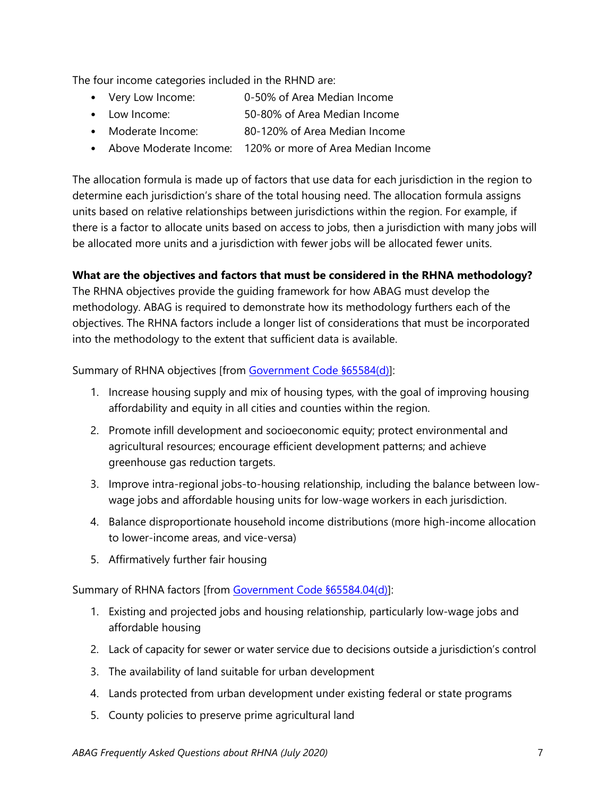The four income categories included in the RHND are:

- Very Low Income: 0-50% of Area Median Income
- Low Income: 50-80% of Area Median Income
- Moderate Income: 80-120% of Area Median Income
- Above Moderate Income: 120% or more of Area Median Income

The allocation formula is made up of factors that use data for each jurisdiction in the region to determine each jurisdiction's share of the total housing need. The allocation formula assigns units based on relative relationships between jurisdictions within the region. For example, if there is a factor to allocate units based on access to jobs, then a jurisdiction with many jobs will be allocated more units and a jurisdiction with fewer jobs will be allocated fewer units.

## **What are the objectives and factors that must be considered in the RHNA methodology?**

The RHNA objectives provide the guiding framework for how ABAG must develop the methodology. ABAG is required to demonstrate how its methodology furthers each of the objectives. The RHNA factors include a longer list of considerations that must be incorporated into the methodology to the extent that sufficient data is available.

Summary of RHNA objectives [from [Government Code §65584\(d\)\]](http://leginfo.legislature.ca.gov/faces/codes_displaySection.xhtml?lawCode=GOV§ionNum=65584.):

- 1. Increase housing supply and mix of housing types, with the goal of improving housing affordability and equity in all cities and counties within the region.
- 2. Promote infill development and socioeconomic equity; protect environmental and agricultural resources; encourage efficient development patterns; and achieve greenhouse gas reduction targets.
- 3. Improve intra-regional jobs-to-housing relationship, including the balance between lowwage jobs and affordable housing units for low-wage workers in each jurisdiction.
- 4. Balance disproportionate household income distributions (more high-income allocation to lower-income areas, and vice-versa)
- 5. Affirmatively further fair housing

Summary of RHNA factors [from [Government Code §65584.04\(d\)\]](http://leginfo.legislature.ca.gov/faces/codes_displaySection.xhtml?lawCode=GOV§ionNum=65584.04.):

- 1. Existing and projected jobs and housing relationship, particularly low-wage jobs and affordable housing
- 2. Lack of capacity for sewer or water service due to decisions outside a jurisdiction's control
- 3. The availability of land suitable for urban development
- 4. Lands protected from urban development under existing federal or state programs
- 5. County policies to preserve prime agricultural land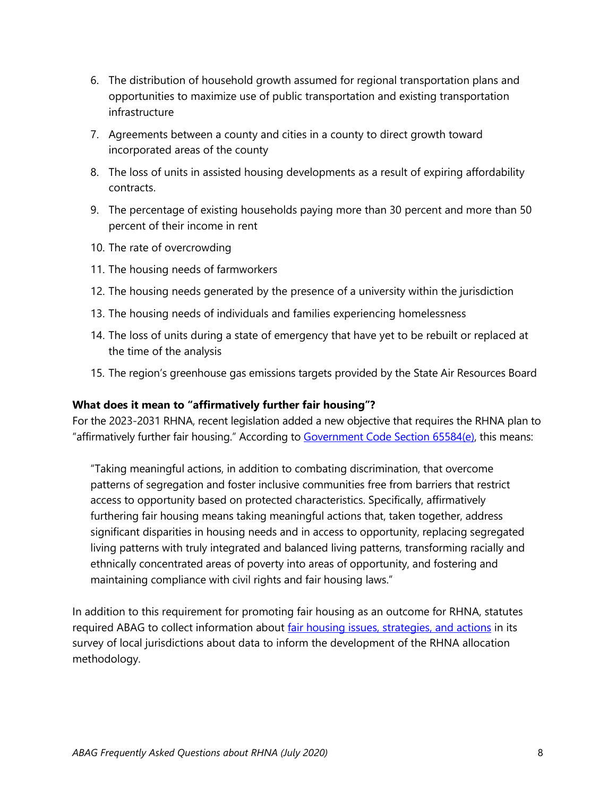- 6. The distribution of household growth assumed for regional transportation plans and opportunities to maximize use of public transportation and existing transportation infrastructure
- 7. Agreements between a county and cities in a county to direct growth toward incorporated areas of the county
- 8. The loss of units in assisted housing developments as a result of expiring affordability contracts.
- 9. The percentage of existing households paying more than 30 percent and more than 50 percent of their income in rent
- 10. The rate of overcrowding
- 11. The housing needs of farmworkers
- 12. The housing needs generated by the presence of a university within the jurisdiction
- 13. The housing needs of individuals and families experiencing homelessness
- 14. The loss of units during a state of emergency that have yet to be rebuilt or replaced at the time of the analysis
- 15. The region's greenhouse gas emissions targets provided by the State Air Resources Board

## **What does it mean to "affirmatively further fair housing"?**

For the 2023-2031 RHNA, recent legislation added a new objective that requires the RHNA plan to "affirmatively further fair housing." According to [Government Code Section 65584\(e\),](http://leginfo.legislature.ca.gov/faces/codes_displaySection.xhtml?lawCode=GOV§ionNum=65584.) this means:

"Taking meaningful actions, in addition to combating discrimination, that overcome patterns of segregation and foster inclusive communities free from barriers that restrict access to opportunity based on protected characteristics. Specifically, affirmatively furthering fair housing means taking meaningful actions that, taken together, address significant disparities in housing needs and in access to opportunity, replacing segregated living patterns with truly integrated and balanced living patterns, transforming racially and ethnically concentrated areas of poverty into areas of opportunity, and fostering and maintaining compliance with civil rights and fair housing laws."

In addition to this requirement for promoting fair housing as an outcome for RHNA, statutes required ABAG to collect information about [fair housing issues, strategies, and actions](https://abag.ca.gov/sites/default/files/fair_housing_survey_results_summary_april2020.pdf) in its survey of local jurisdictions about data to inform the development of the RHNA allocation methodology.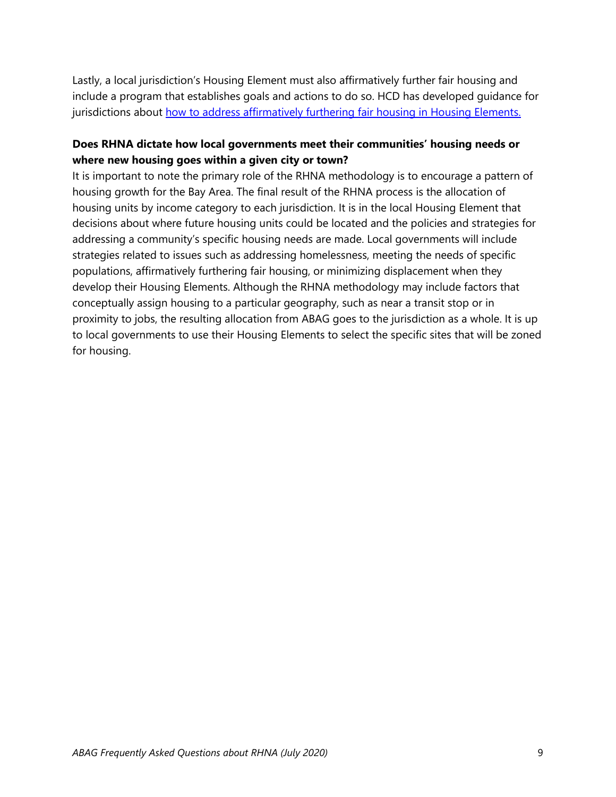Lastly, a local jurisdiction's Housing Element must also affirmatively further fair housing and include a program that establishes goals and actions to do so. HCD has developed guidance for jurisdictions about [how to address affirmatively furthering fair housing in Housing Elements.](https://www.hcd.ca.gov/community-development/housing-element/housing-element-memos/docs/AB686_SummaryHousingElementFinal_04222020.pdf)

## **Does RHNA dictate how local governments meet their communities' housing needs or where new housing goes within a given city or town?**

It is important to note the primary role of the RHNA methodology is to encourage a pattern of housing growth for the Bay Area. The final result of the RHNA process is the allocation of housing units by income category to each jurisdiction. It is in the local Housing Element that decisions about where future housing units could be located and the policies and strategies for addressing a community's specific housing needs are made. Local governments will include strategies related to issues such as addressing homelessness, meeting the needs of specific populations, affirmatively furthering fair housing, or minimizing displacement when they develop their Housing Elements. Although the RHNA methodology may include factors that conceptually assign housing to a particular geography, such as near a transit stop or in proximity to jobs, the resulting allocation from ABAG goes to the jurisdiction as a whole. It is up to local governments to use their Housing Elements to select the specific sites that will be zoned for housing.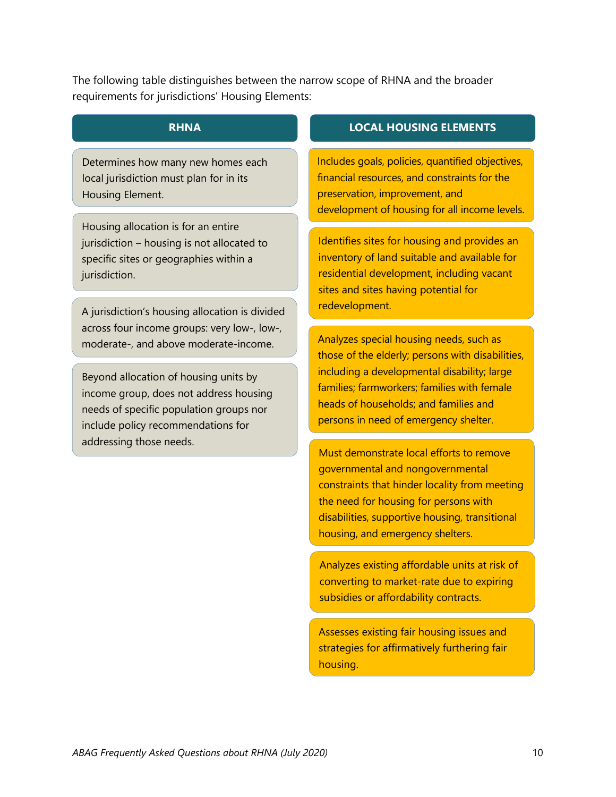The following table distinguishes between the narrow scope of RHNA and the broader requirements for jurisdictions' Housing Elements:

Determines how many new homes each local jurisdiction must plan for in its Housing Element.

Housing allocation is for an entire jurisdiction – housing is not allocated to specific sites or geographies within a jurisdiction.

A jurisdiction's housing allocation is divided across four income groups: very low-, low-, moderate-, and above moderate-income.

Beyond allocation of housing units by income group, does not address housing needs of specific population groups nor include policy recommendations for addressing those needs.

## **RHNA LOCAL HOUSING ELEMENTS**

Includes goals, policies, quantified objectives, financial resources, and constraints for the preservation, improvement, and development of housing for all income levels.

Identifies sites for housing and provides an inventory of land suitable and available for residential development, including vacant sites and sites having potential for redevelopment.

Analyzes special housing needs, such as those of the elderly; persons with disabilities, including a developmental disability; large families; farmworkers; families with female heads of households; and families and persons in need of emergency shelter.

Must demonstrate local efforts to remove governmental and nongovernmental constraints that hinder locality from meeting the need for housing for persons with disabilities, supportive housing, transitional housing, and emergency shelters.

Analyzes existing affordable units at risk of converting to market-rate due to expiring subsidies or affordability contracts.

Assesses existing fair housing issues and strategies for affirmatively furthering fair housing.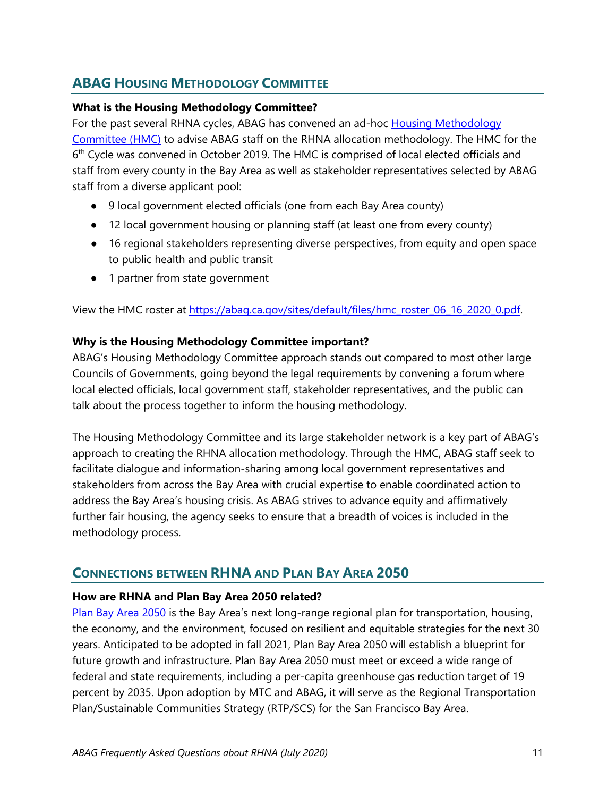# **ABAG HOUSING METHODOLOGY COMMITTEE**

## **What is the Housing Methodology Committee?**

For the past several RHNA cycles, ABAG has convened an ad-hoc [Housing Methodology](https://abag.ca.gov/our-work/housing/rhna-regional-housing-needs-allocation/housing-methodology-committee)  [Committee \(HMC\)](https://abag.ca.gov/our-work/housing/rhna-regional-housing-needs-allocation/housing-methodology-committee) to advise ABAG staff on the RHNA allocation methodology. The HMC for the 6<sup>th</sup> Cycle was convened in October 2019. The HMC is comprised of local elected officials and staff from every county in the Bay Area as well as stakeholder representatives selected by ABAG staff from a diverse applicant pool:

- 9 local government elected officials (one from each Bay Area county)
- 12 local government housing or planning staff (at least one from every county)
- 16 regional stakeholders representing diverse perspectives, from equity and open space to public health and public transit
- 1 partner from state government

View the HMC roster at [https://abag.ca.gov/sites/default/files/hmc\\_roster\\_06\\_16\\_2020\\_0.pdf.](https://abag.ca.gov/sites/default/files/hmc_roster_06_16_2020_0.pdf)

## **Why is the Housing Methodology Committee important?**

ABAG's Housing Methodology Committee approach stands out compared to most other large Councils of Governments, going beyond the legal requirements by convening a forum where local elected officials, local government staff, stakeholder representatives, and the public can talk about the process together to inform the housing methodology.

The Housing Methodology Committee and its large stakeholder network is a key part of ABAG's approach to creating the RHNA allocation methodology. Through the HMC, ABAG staff seek to facilitate dialogue and information-sharing among local government representatives and stakeholders from across the Bay Area with crucial expertise to enable coordinated action to address the Bay Area's housing crisis. As ABAG strives to advance equity and affirmatively further fair housing, the agency seeks to ensure that a breadth of voices is included in the methodology process.

# **CONNECTIONS BETWEEN RHNA AND PLAN BAY AREA 2050**

## **How are RHNA and Plan Bay Area 2050 related?**

[Plan Bay Area 2050](https://www.planbayarea.org/) is the Bay Area's next long-range regional plan for transportation, housing, the economy, and the environment, focused on resilient and equitable strategies for the next 30 years. Anticipated to be adopted in fall 2021, Plan Bay Area 2050 will establish a blueprint for future growth and infrastructure. Plan Bay Area 2050 must meet or exceed a wide range of federal and state requirements, including a per-capita greenhouse gas reduction target of 19 percent by 2035. Upon adoption by MTC and ABAG, it will serve as the Regional Transportation Plan/Sustainable Communities Strategy (RTP/SCS) for the San Francisco Bay Area.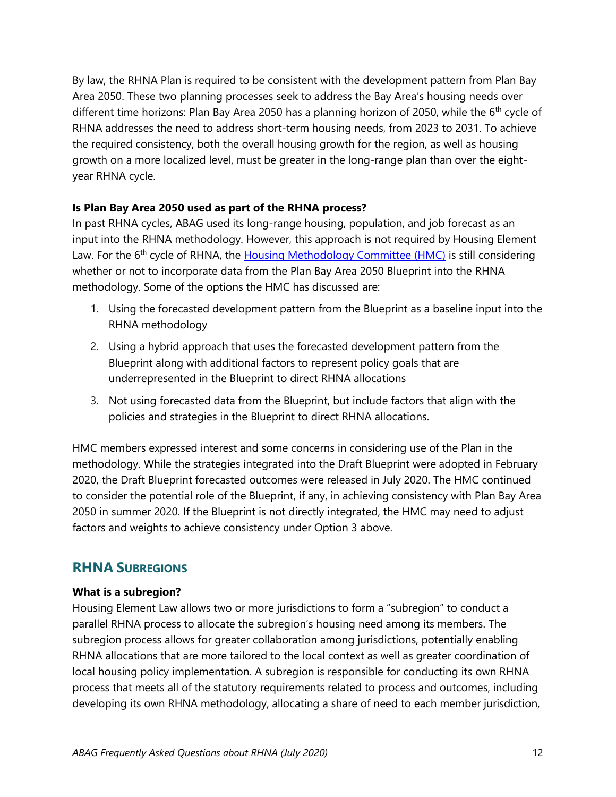By law, the RHNA Plan is required to be consistent with the development pattern from Plan Bay Area 2050. These two planning processes seek to address the Bay Area's housing needs over different time horizons: Plan Bay Area 2050 has a planning horizon of 2050, while the 6<sup>th</sup> cycle of RHNA addresses the need to address short-term housing needs, from 2023 to 2031. To achieve the required consistency, both the overall housing growth for the region, as well as housing growth on a more localized level, must be greater in the long-range plan than over the eightyear RHNA cycle.

## **Is Plan Bay Area 2050 used as part of the RHNA process?**

In past RHNA cycles, ABAG used its long-range housing, population, and job forecast as an input into the RHNA methodology. However, this approach is not required by Housing Element Law. For the 6<sup>th</sup> cycle of RHNA, the [Housing Methodology Committee \(HMC\)](https://abag.ca.gov/our-work/housing/rhna-regional-housing-needs-allocation/housing-methodology-committee) is still considering whether or not to incorporate data from the Plan Bay Area 2050 Blueprint into the RHNA methodology. Some of the options the HMC has discussed are:

- 1. Using the forecasted development pattern from the Blueprint as a baseline input into the RHNA methodology
- 2. Using a hybrid approach that uses the forecasted development pattern from the Blueprint along with additional factors to represent policy goals that are underrepresented in the Blueprint to direct RHNA allocations
- 3. Not using forecasted data from the Blueprint, but include factors that align with the policies and strategies in the Blueprint to direct RHNA allocations.

HMC members expressed interest and some concerns in considering use of the Plan in the methodology. While the strategies integrated into the Draft Blueprint were adopted in February 2020, the Draft Blueprint forecasted outcomes were released in July 2020. The HMC continued to consider the potential role of the Blueprint, if any, in achieving consistency with Plan Bay Area 2050 in summer 2020. If the Blueprint is not directly integrated, the HMC may need to adjust factors and weights to achieve consistency under Option 3 above.

# **RHNA SUBREGIONS**

## **What is a subregion?**

Housing Element Law allows two or more jurisdictions to form a "subregion" to conduct a parallel RHNA process to allocate the subregion's housing need among its members. The subregion process allows for greater collaboration among jurisdictions, potentially enabling RHNA allocations that are more tailored to the local context as well as greater coordination of local housing policy implementation. A subregion is responsible for conducting its own RHNA process that meets all of the statutory requirements related to process and outcomes, including developing its own RHNA methodology, allocating a share of need to each member jurisdiction,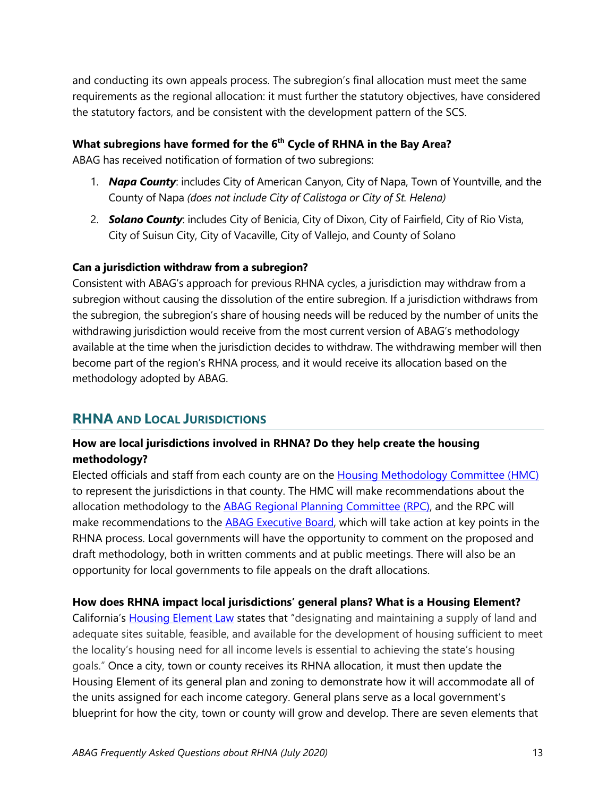and conducting its own appeals process. The subregion's final allocation must meet the same requirements as the regional allocation: it must further the statutory objectives, have considered the statutory factors, and be consistent with the development pattern of the SCS.

## **What subregions have formed for the 6th Cycle of RHNA in the Bay Area?**

ABAG has received notification of formation of two subregions:

- 1. *Napa County*: includes City of American Canyon, City of Napa, Town of Yountville, and the County of Napa *(does not include City of Calistoga or City of St. Helena)*
- 2. *Solano County*: includes City of Benicia, City of Dixon, City of Fairfield, City of Rio Vista, City of Suisun City, City of Vacaville, City of Vallejo, and County of Solano

## **Can a jurisdiction withdraw from a subregion?**

Consistent with ABAG's approach for previous RHNA cycles, a jurisdiction may withdraw from a subregion without causing the dissolution of the entire subregion. If a jurisdiction withdraws from the subregion, the subregion's share of housing needs will be reduced by the number of units the withdrawing jurisdiction would receive from the most current version of ABAG's methodology available at the time when the jurisdiction decides to withdraw. The withdrawing member will then become part of the region's RHNA process, and it would receive its allocation based on the methodology adopted by ABAG.

# **RHNA AND LOCAL JURISDICTIONS**

## **How are local jurisdictions involved in RHNA? Do they help create the housing methodology?**

Elected officials and staff from each county are on the [Housing Methodology Committee \(HMC\)](https://abag.ca.gov/our-work/housing/rhna-regional-housing-needs-allocation/housing-methodology-committee) to represent the jurisdictions in that county. The HMC will make recommendations about the allocation methodology to the [ABAG Regional Planning Committee \(RPC\),](https://abag.ca.gov/about-abag/what-we-do/how-we-govern/committees/regional-planning-committee) and the RPC will make recommendations to the [ABAG Executive Board,](https://abag.ca.gov/about-abag/what-we-do/how-we-govern/executive-board) which will take action at key points in the RHNA process. Local governments will have the opportunity to comment on the proposed and draft methodology, both in written comments and at public meetings. There will also be an opportunity for local governments to file appeals on the draft allocations.

## **How does RHNA impact local jurisdictions' general plans? What is a Housing Element?**

California's [Housing Element Law](http://leginfo.legislature.ca.gov/faces/codes_displayText.xhtml?lawCode=GOV&division=1.&title=7.&part=&chapter=3.&article=10.6.) states that "designating and maintaining a supply of land and adequate sites suitable, feasible, and available for the development of housing sufficient to meet the locality's housing need for all income levels is essential to achieving the state's housing goals." Once a city, town or county receives its RHNA allocation, it must then update the Housing Element of its general plan and zoning to demonstrate how it will accommodate all of the units assigned for each income category. General plans serve as a local government's blueprint for how the city, town or county will grow and develop. There are seven elements that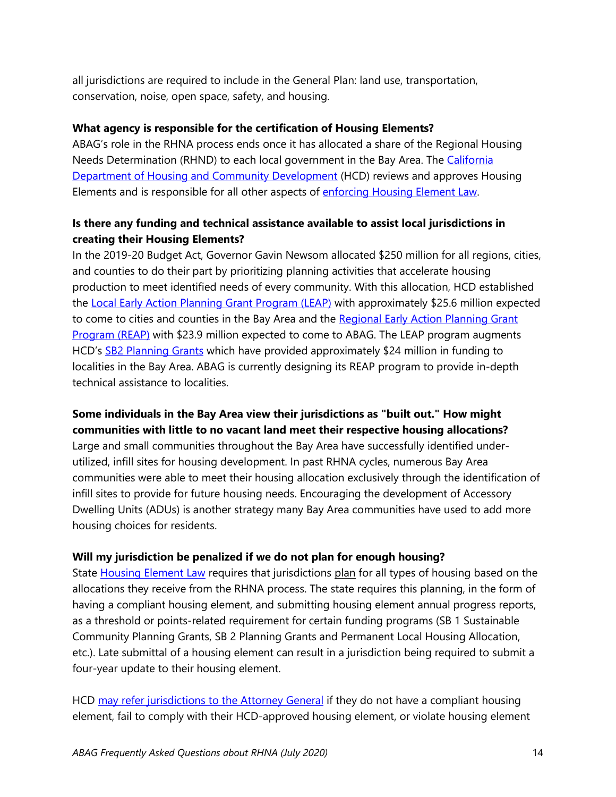all jurisdictions are required to include in the General Plan: land use, transportation, conservation, noise, open space, safety, and housing.

## **What agency is responsible for the certification of Housing Elements?**

ABAG's role in the RHNA process ends once it has allocated a share of the Regional Housing Needs Determination (RHND) to each local government in the Bay Area. The California [Department of Housing and Community Development](http://www.hcd.ca.gov/) (HCD) reviews and approves Housing Elements and is responsible for all other aspects of [enforcing Housing Element Law.](https://www.hcd.ca.gov/community-development/accountability-enforcement.shtml)

## **Is there any funding and technical assistance available to assist local jurisdictions in creating their Housing Elements?**

In the 2019-20 Budget Act, Governor Gavin Newsom allocated \$250 million for all regions, cities, and counties to do their part by prioritizing planning activities that accelerate housing production to meet identified needs of every community. With this allocation, HCD established the [Local Early Action Planning Grant Program \(LEAP\)](https://www.hcd.ca.gov/grants-funding/active-funding/leap.shtml) with approximately \$25.6 million expected to come to cities and counties in the Bay Area and the Regional Early Action Planning Grant [Program \(REAP\)](https://www.hcd.ca.gov/grants-funding/active-funding/reap.shtml) with \$23.9 million expected to come to ABAG. The LEAP program augments HCD's [SB2 Planning Grants](https://www.hcd.ca.gov/grants-funding/active-funding/planning-grants.shtml) which have provided approximately \$24 million in funding to localities in the Bay Area. ABAG is currently designing its REAP program to provide in-depth technical assistance to localities.

## **Some individuals in the Bay Area view their jurisdictions as "built out." How might communities with little to no vacant land meet their respective housing allocations?**

Large and small communities throughout the Bay Area have successfully identified underutilized, infill sites for housing development. In past RHNA cycles, numerous Bay Area communities were able to meet their housing allocation exclusively through the identification of infill sites to provide for future housing needs. Encouraging the development of Accessory Dwelling Units (ADUs) is another strategy many Bay Area communities have used to add more housing choices for residents.

## **Will my jurisdiction be penalized if we do not plan for enough housing?**

State [Housing Element Law](http://leginfo.legislature.ca.gov/faces/codes_displayText.xhtml?lawCode=GOV&division=1.&title=7.&part=&chapter=3.&article=10.6.) requires that jurisdictions plan for all types of housing based on the allocations they receive from the RHNA process. The state requires this planning, in the form of having a compliant housing element, and submitting housing element annual progress reports, as a threshold or points-related requirement for certain funding programs (SB 1 Sustainable Community Planning Grants, SB 2 Planning Grants and Permanent Local Housing Allocation, etc.). Late submittal of a housing element can result in a jurisdiction being required to submit a four-year update to their housing element.

HCD [may refer jurisdictions to the Attorney General](https://www.hcd.ca.gov/community-development/accountability-enforcement.shtml) if they do not have a compliant housing element, fail to comply with their HCD-approved housing element, or violate housing element